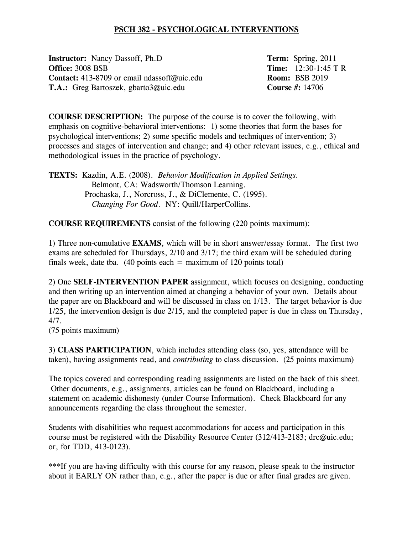## **PSCH 382 - PSYCHOLOGICAL INTERVENTIONS**

**Instructor:** Nancy Dassoff, Ph.D **Term:** Spring, 2011 **Office:** 3008 BSB **Time:** 12:30-1:45 T R **Contact:** 413-8709 or email ndassoff@uic.edu **Room:** BSB 2019 **T.A.:** Greg Bartoszek, gbarto3@uic.edu **Course #:** 14706

**COURSE DESCRIPTION:** The purpose of the course is to cover the following, with emphasis on cognitive-behavioral interventions: 1) some theories that form the bases for psychological interventions; 2) some specific models and techniques of intervention; 3) processes and stages of intervention and change; and 4) other relevant issues, e.g., ethical and methodological issues in the practice of psychology.

**TEXTS:** Kazdin, A.E. (2008). *Behavior Modification in Applied Settings.* Belmont, CA: Wadsworth/Thomson Learning. Prochaska, J., Norcross, J., & DiClemente, C. (1995). *Changing For Good*. NY: Quill/HarperCollins.

**COURSE REQUIREMENTS** consist of the following (220 points maximum):

1) Three non-cumulative **EXAMS**, which will be in short answer/essay format. The first two exams are scheduled for Thursdays, 2/10 and 3/17; the third exam will be scheduled during finals week, date tba. (40 points each  $=$  maximum of 120 points total)

2) One **SELF-INTERVENTION PAPER** assignment, which focuses on designing, conducting and then writing up an intervention aimed at changing a behavior of your own. Details about the paper are on Blackboard and will be discussed in class on 1/13. The target behavior is due 1/25, the intervention design is due 2/15, and the completed paper is due in class on Thursday, 4/7.

(75 points maximum)

3) **CLASS PARTICIPATION**, which includes attending class (so, yes, attendance will be taken), having assignments read, and *contributing* to class discussion. (25 points maximum)

The topics covered and corresponding reading assignments are listed on the back of this sheet. Other documents, e.g., assignments, articles can be found on Blackboard, including a statement on academic dishonesty (under Course Information). Check Blackboard for any announcements regarding the class throughout the semester.

Students with disabilities who request accommodations for access and participation in this course must be registered with the Disability Resource Center (312/413-2183; drc@uic.edu; or, for TDD, 413-0123).

\*\*\*If you are having difficulty with this course for any reason, please speak to the instructor about it EARLY ON rather than, e.g., after the paper is due or after final grades are given.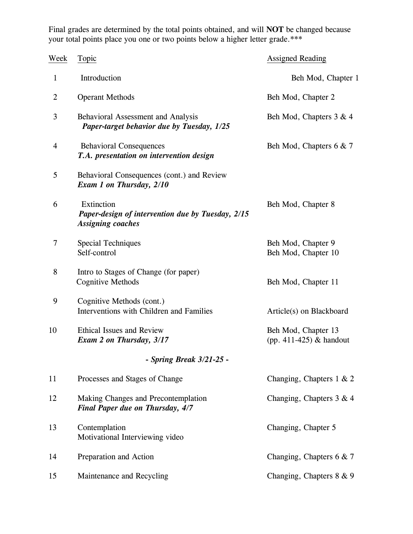Final grades are determined by the total points obtained, and will **NOT** be changed because your total points place you one or two points below a higher letter grade.\*\*\*

| Week         | Topic                                                                                       | <b>Assigned Reading</b>                          |
|--------------|---------------------------------------------------------------------------------------------|--------------------------------------------------|
| $\mathbf{1}$ | Introduction                                                                                | Beh Mod, Chapter 1                               |
| 2            | <b>Operant Methods</b>                                                                      | Beh Mod, Chapter 2                               |
| 3            | Behavioral Assessment and Analysis<br>Paper-target behavior due by Tuesday, 1/25            | Beh Mod, Chapters 3 & 4                          |
| 4            | <b>Behavioral Consequences</b><br>T.A. presentation on intervention design                  | Beh Mod, Chapters 6 & 7                          |
| 5            | Behavioral Consequences (cont.) and Review<br>Exam 1 on Thursday, 2/10                      |                                                  |
| 6            | Extinction<br>Paper-design of intervention due by Tuesday, 2/15<br><b>Assigning coaches</b> | Beh Mod, Chapter 8                               |
| 7            | <b>Special Techniques</b><br>Self-control                                                   | Beh Mod, Chapter 9<br>Beh Mod, Chapter 10        |
| 8            | Intro to Stages of Change (for paper)<br><b>Cognitive Methods</b>                           | Beh Mod, Chapter 11                              |
| 9            | Cognitive Methods (cont.)<br>Interventions with Children and Families                       | Article(s) on Blackboard                         |
| 10           | <b>Ethical Issues and Review</b><br>Exam 2 on Thursday, 3/17                                | Beh Mod, Chapter 13<br>(pp. 411-425) $&$ handout |
|              | - Spring Break 3/21-25 -                                                                    |                                                  |
| 11           | Processes and Stages of Change                                                              | Changing, Chapters 1 & 2                         |
| 12           | Making Changes and Precontemplation<br>Final Paper due on Thursday, 4/7                     | Changing, Chapters 3 & 4                         |
| 13           | Contemplation<br>Motivational Interviewing video                                            | Changing, Chapter 5                              |
| 14           | Preparation and Action                                                                      | Changing, Chapters 6 & 7                         |
| 15           | Maintenance and Recycling                                                                   | Changing, Chapters 8 & 9                         |